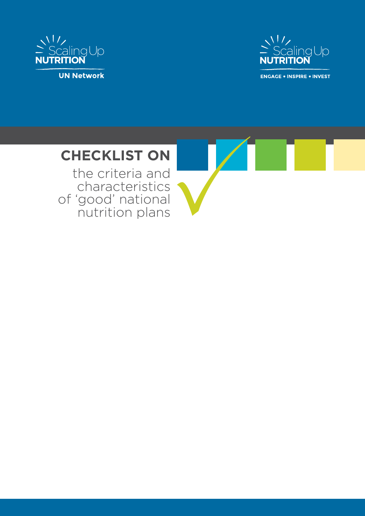



**ENGAGE . INSPIRE . INVEST** 

# **CHECKLIST ON**

the criteria and characteristics of 'good' national nutrition plans

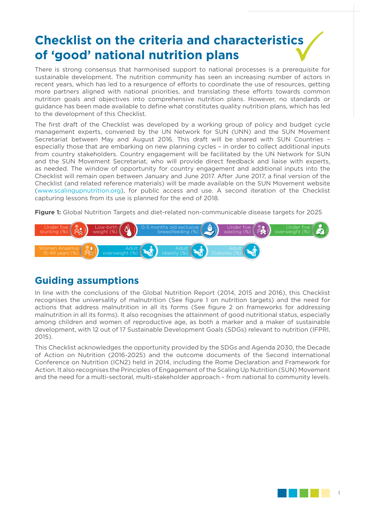## **Checklist on the criteria and characteristics of 'good' national nutrition plans**

There is strong consensus that harmonised support to national processes is a prerequisite for sustainable development. The nutrition community has seen an increasing number of actors in recent years, which has led to a resurgence of efforts to coordinate the use of resources, getting more partners aligned with national priorities, and translating these efforts towards common nutrition goals and objectives into comprehensive nutrition plans. However, no standards or guidance has been made available to define what constitutes quality nutrition plans, which has led to the development of this Checklist.

The first draft of the Checklist was developed by a working group of policy and budget cycle management experts, convened by the UN Network for SUN (UNN) and the SUN Movement Secretariat between May and August 2016. This draft will be shared with SUN Countries – especially those that are embarking on new planning cycles – in order to collect additional inputs from country stakeholders. Country engagement will be facilitated by the UN Network for SUN and the SUN Movement Secretariat, who will provide direct feedback and liaise with experts, as needed. The window of opportunity for country engagement and additional inputs into the Checklist will remain open between January and June 2017. After June 2017, a final version of the Checklist (and related reference materials) will be made available on the SUN Movement website (www.scalingupnutrition.org), for public access and use. A second iteration of the Checklist capturing lessons from its use is planned for the end of 2018.

**Figure 1:** Global Nutrition Targets and diet-related non-communicable disease targets for 2025



## **Guiding assumptions**

In line with the conclusions of the Global Nutrition Report (2014, 2015 and 2016), this Checklist recognises the universality of malnutrition (See figure 1 on nutrition targets) and the need for actions that address malnutrition in all its forms (See figure 2 on frameworks for addressing malnutrition in all its forms). It also recognises the attainment of good nutritional status, especially among children and women of reproductive age, as both a marker and a maker of sustainable development, with 12 out of 17 Sustainable Development Goals (SDGs) relevant to nutrition (IFPRI, 2015).

This Checklist acknowledges the opportunity provided by the SDGs and Agenda 2030, the Decade of Action on Nutrition (2016-2025) and the outcome documents of the Second International Conference on Nutrition (ICN2) held in 2014, including the Rome Declaration and Framework for Action. It also recognises the Principles of Engagement of the Scaling Up Nutrition (SUN) Movement and the need for a multi-sectoral, multi-stakeholder approach – from national to community levels.

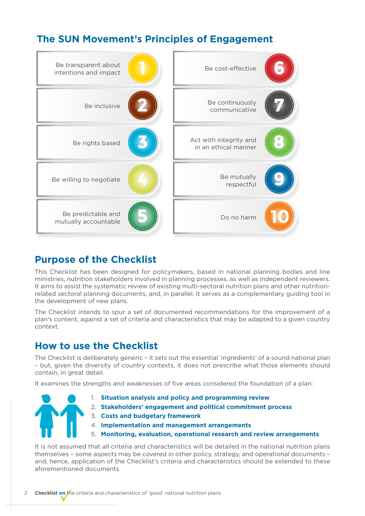## **The SUN Movement's Principles of Engagement**



## **Purpose of the Checklist**

This Checklist has been designed for policymakers, based in national planning bodies and line ministries, nutrition stakeholders involved in planning processes, as well as independent reviewers. It aims to assist the systematic review of existing multi-sectoral nutrition plans and other nutritionrelated sectoral planning documents, and, in parallel, it serves as a complementary guiding tool in the development of new plans.

The Checklist intends to spur a set of documented recommendations for the improvement of a plan's content, against a set of criteria and characteristics that may be adapted to a given country context.

## **How to use the Checklist**

The Checklist is deliberately generic – it sets out the essential 'ingredients' of a sound national plan – but, given the diversity of country contexts, it does not prescribe what those elements should contain, in great detail.

It examines the strengths and weaknesses of five areas considered the foundation of a plan:

- 
- 1. **Situation analysis and policy and programming review**
- 2. **Stakeholders' engagement and political commitment process**
- 3. **Costs and budgetary framework**
- 4. **Implementation and management arrangements**
- 5. **Monitoring, evaluation, operational research and review arrangements**

It is not assumed that all criteria and characteristics will be detailed in the national nutrition plans themselves – some aspects may be covered in other policy, strategy, and operational documents – and, hence, application of the Checklist's criteria and characteristics should be extended to these aforementioned documents.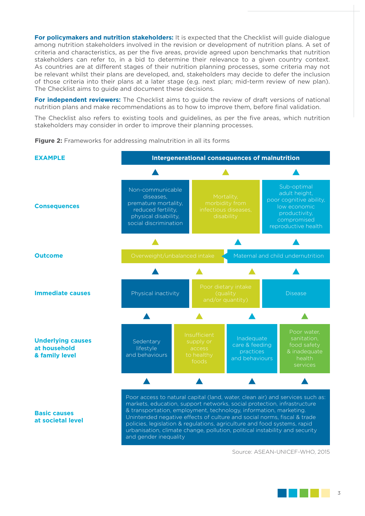**For policymakers and nutrition stakeholders:** It is expected that the Checklist will guide dialogue among nutrition stakeholders involved in the revision or development of nutrition plans. A set of criteria and characteristics, as per the five areas, provide agreed upon benchmarks that nutrition stakeholders can refer to, in a bid to determine their relevance to a given country context. As countries are at different stages of their nutrition planning processes, some criteria may not be relevant whilst their plans are developed, and, stakeholders may decide to defer the inclusion of those criteria into their plans at a later stage (e.g. next plan; mid-term review of new plan). The Checklist aims to guide and document these decisions.

**For independent reviewers:** The Checklist aims to guide the review of draft versions of national nutrition plans and make recommendations as to how to improve them, before final validation.

The Checklist also refers to existing tools and guidelines, as per the five areas, which nutrition stakeholders may consider in order to improve their planning processes.



**Figure 2:** Frameworks for addressing malnutrition in all its forms

Source: ASEAN-UNICEF-WHO, 2015

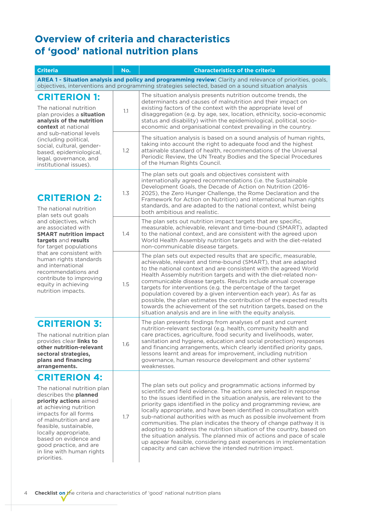## **Overview of criteria and characteristics of 'good' national nutrition plans**

| <b>Criteria</b>                                                                                                                                                                                                                                                                                                                                                                  | No. | <b>Characteristics of the criteria</b>                                                                                                                                                                                                                                                                                                                                                                                                                                                                                                                                                                                                                                                                                                                                                   |  |  |
|----------------------------------------------------------------------------------------------------------------------------------------------------------------------------------------------------------------------------------------------------------------------------------------------------------------------------------------------------------------------------------|-----|------------------------------------------------------------------------------------------------------------------------------------------------------------------------------------------------------------------------------------------------------------------------------------------------------------------------------------------------------------------------------------------------------------------------------------------------------------------------------------------------------------------------------------------------------------------------------------------------------------------------------------------------------------------------------------------------------------------------------------------------------------------------------------------|--|--|
| AREA 1 - Situation analysis and policy and programming review: Clarity and relevance of priorities, goals,<br>objectives, interventions and programming strategies selected, based on a sound situation analysis                                                                                                                                                                 |     |                                                                                                                                                                                                                                                                                                                                                                                                                                                                                                                                                                                                                                                                                                                                                                                          |  |  |
| <b>CRITERION 1:</b><br>The national nutrition<br>plan provides a situation<br>analysis of the nutrition<br>context at national<br>and sub-national levels<br>(including political,<br>social, cultural, gender-<br>based, epidemiological,<br>legal, governance, and<br>institutional issues).                                                                                   | 1.1 | The situation analysis presents nutrition outcome trends, the<br>determinants and causes of malnutrition and their impact on<br>existing factors of the context with the appropriate level of<br>disaggregation (e.g. by age, sex, location, ethnicity, socio-economic<br>status and disability) within the epidemiological, political, socio-<br>economic and organisational context prevailing in the country.                                                                                                                                                                                                                                                                                                                                                                         |  |  |
|                                                                                                                                                                                                                                                                                                                                                                                  | 1.2 | The situation analysis is based on a sound analysis of human rights,<br>taking into account the right to adequate food and the highest<br>attainable standard of health, recommendations of the Universal<br>Periodic Review, the UN Treaty Bodies and the Special Procedures<br>of the Human Rights Council.                                                                                                                                                                                                                                                                                                                                                                                                                                                                            |  |  |
| <b>CRITERION 2:</b><br>The national nutrition<br>plan sets out goals<br>and objectives, which<br>are associated with<br><b>SMART nutrition impact</b><br>targets and results<br>for target populations<br>that are consistent with<br>human rights standards<br>and international<br>recommendations and<br>contribute to improving<br>equity in achieving<br>nutrition impacts. | 1.3 | The plan sets out goals and objectives consistent with<br>internationally agreed recommendations (i.e. the Sustainable<br>Development Goals, the Decade of Action on Nutrition (2016-<br>2025), the Zero Hunger Challenge, the Rome Declaration and the<br>Framework for Action on Nutrition) and international human rights<br>standards, and are adapted to the national context, whilst being<br>both ambitious and realistic.                                                                                                                                                                                                                                                                                                                                                        |  |  |
|                                                                                                                                                                                                                                                                                                                                                                                  | 1.4 | The plan sets out nutrition impact targets that are specific,<br>measurable, achievable, relevant and time-bound (SMART), adapted<br>to the national context, and are consistent with the agreed upon<br>World Health Assembly nutrition targets and with the diet-related<br>non-communicable disease targets.                                                                                                                                                                                                                                                                                                                                                                                                                                                                          |  |  |
|                                                                                                                                                                                                                                                                                                                                                                                  | 1.5 | The plan sets out expected results that are specific, measurable,<br>achievable, relevant and time-bound (SMART), that are adapted<br>to the national context and are consistent with the agreed World<br>Health Assembly nutrition targets and with the diet-related non-<br>communicable disease targets. Results include annual coverage<br>targets for interventions (e.g. the percentage of the target<br>population covered by a given intervention each year). As far as<br>possible, the plan estimates the contribution of the expected results<br>towards the achievement of the set nutrition targets, based on the<br>situation analysis and are in line with the equity analysis.                                                                                           |  |  |
| <b>CRITERION 3:</b><br>The national nutrition plan<br>provides clear links to<br>other nutrition-relevant<br>sectoral strategies,<br>plans and financing<br>arrangements.                                                                                                                                                                                                        | 1.6 | The plan presents findings from analyses of past and current<br>nutrition-relevant sectoral (e.g. health, community health and<br>care practices, agriculture, food security and livelihoods, water,<br>sanitation and hygiene, education and social protection) responses<br>and financing arrangements, which clearly identified priority gaps,<br>lessons learnt and areas for improvement, including nutrition<br>governance, human resource development and other systems'<br>weaknesses.                                                                                                                                                                                                                                                                                           |  |  |
| <b>CRITERION 4:</b><br>The national nutrition plan<br>describes the <b>planned</b><br>priority actions aimed<br>at achieving nutrition<br>impacts for all forms<br>of malnutrition and are<br>feasible, sustainable,<br>locally appropriate,<br>based on evidence and<br>good practice, and are<br>in line with human rights<br>priorities.                                      | 1.7 | The plan sets out policy and programmatic actions informed by<br>scientific and field evidence. The actions are selected in response<br>to the issues identified in the situation analysis, are relevant to the<br>priority gaps identified in the policy and programming review, are<br>locally appropriate, and have been identified in consultation with<br>sub-national authorities with as much as possible involvement from<br>communities. The plan indicates the theory of change pathway it is<br>adopting to address the nutrition situation of the country, based on<br>the situation analysis. The planned mix of actions and pace of scale<br>up appear feasible, considering past experiences in implementation<br>capacity and can achieve the intended nutrition impact. |  |  |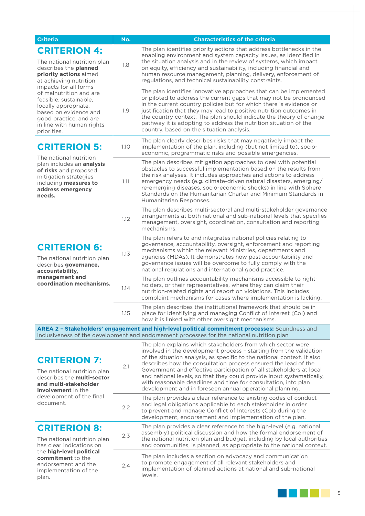| <b>Criteria</b>                                                                                                                                                                                                                                                                                                                      | No.  | <b>Characteristics of the criteria</b>                                                                                                                                                                                                                                                                                                                                                                                                                                                        |
|--------------------------------------------------------------------------------------------------------------------------------------------------------------------------------------------------------------------------------------------------------------------------------------------------------------------------------------|------|-----------------------------------------------------------------------------------------------------------------------------------------------------------------------------------------------------------------------------------------------------------------------------------------------------------------------------------------------------------------------------------------------------------------------------------------------------------------------------------------------|
| <b>CRITERION 4:</b><br>The national nutrition plan<br>describes the planned<br>priority actions aimed<br>at achieving nutrition<br>impacts for all forms<br>of malnutrition and are<br>feasible, sustainable,<br>locally appropriate,<br>based on evidence and<br>good practice, and are<br>in line with human rights<br>priorities. | 1.8  | The plan identifies priority actions that address bottlenecks in the<br>enabling environment and system capacity issues, as identified in<br>the situation analysis and in the review of systems, which impact<br>on equity, efficiency and sustainability, including financial and<br>human resource management, planning, delivery, enforcement of<br>regulations, and technical sustainability constraints.                                                                                |
|                                                                                                                                                                                                                                                                                                                                      | 1.9  | The plan identifies innovative approaches that can be implemented<br>or piloted to address the current gaps that may not be pronounced<br>in the current country policies but for which there is evidence or<br>justification that they may lead to positive nutrition outcomes in<br>the country context. The plan should indicate the theory of change<br>pathway it is adopting to address the nutrition situation of the<br>country, based on the situation analysis.                     |
| <b>CRITERION 5:</b><br>The national nutrition<br>plan includes an <b>analysis</b><br>of risks and proposed<br>mitigation strategies<br>including measures to<br>address emergency<br>needs.                                                                                                                                          | 1.10 | The plan clearly describes risks that may negatively impact the<br>implementation of the plan, including (but not limited to), socio-<br>economic, programmatic risks and possible emergencies.                                                                                                                                                                                                                                                                                               |
|                                                                                                                                                                                                                                                                                                                                      | 1.11 | The plan describes mitigation approaches to deal with potential<br>obstacles to successful implementation based on the results from<br>the risk analyses. It includes approaches and actions to address<br>emergency needs (e.g. climate-driven natural disasters, emerging/<br>re-emerging diseases, socio-economic shocks) in line with Sphere<br>Standards on the Humanitarian Charter and Minimum Standards in<br>Humanitarian Responses.                                                 |
| <b>CRITERION 6:</b><br>The national nutrition plan<br>describes governance,<br>accountability,<br>management and<br>coordination mechanisms.                                                                                                                                                                                         | 1.12 | The plan describes multi-sectoral and multi-stakeholder governance<br>arrangements at both national and sub-national levels that specifies<br>management, oversight, coordination, consultation and reporting<br>mechanisms.                                                                                                                                                                                                                                                                  |
|                                                                                                                                                                                                                                                                                                                                      | 1.13 | The plan refers to and integrates national policies relating to<br>governance, accountability, oversight, enforcement and reporting<br>mechanisms within the relevant Ministries, departments and<br>agencies (MDAs). It demonstrates how past accountability and<br>governance issues will be overcome to fully comply with the<br>national regulations and international good practice.                                                                                                     |
|                                                                                                                                                                                                                                                                                                                                      | 1.14 | The plan outlines accountability mechanisms accessible to right-<br>holders, or their representatives, where they can claim their<br>nutrition-related rights and report on violations. This includes<br>complaint mechanisms for cases where implementation is lacking.                                                                                                                                                                                                                      |
|                                                                                                                                                                                                                                                                                                                                      | 1.15 | The plan describes the institutional framework that should be in<br>place for identifying and managing Conflict of Interest (CoI) and<br>how it is linked with other oversight mechanisms.                                                                                                                                                                                                                                                                                                    |
|                                                                                                                                                                                                                                                                                                                                      |      | AREA 2 - Stakeholders' engagement and high-level political commitment processes: Soundness and<br>inclusiveness of the development and endorsement processes for the national nutrition plan                                                                                                                                                                                                                                                                                                  |
|                                                                                                                                                                                                                                                                                                                                      |      | The plan explains which stakeholders from which sector were                                                                                                                                                                                                                                                                                                                                                                                                                                   |
| <b>CRITERION 7:</b><br>The national nutrition plan<br>describes the <b>multi-sector</b><br>and multi-stakeholder<br>involvement in the<br>development of the final<br>document.                                                                                                                                                      | 2.1  | involved in the development process - starting from the validation<br>of the situation analysis, as specific to the national context. It also<br>describes how the consultation process ensured the lead of the<br>Government and effective participation of all stakeholders at local<br>and national levels, so that they could provide input systematically,<br>with reasonable deadlines and time for consultation, into plan<br>development and in foreseen annual operational planning. |
|                                                                                                                                                                                                                                                                                                                                      | 2.2  | The plan provides a clear reference to existing codes of conduct<br>and legal obligations applicable to each stakeholder in order<br>to prevent and manage Conflict of Interests (Col) during the<br>development, endorsement and implementation of the plan.                                                                                                                                                                                                                                 |
| <b>CRITERION 8:</b><br>The national nutrition plan<br>has clear indications on<br>the high-level political<br>commitment to the<br>endorsement and the<br>implementation of the<br>plan.                                                                                                                                             | 2.3  | The plan provides a clear reference to the high-level (e.g. national<br>assembly) political discussion and how the formal endorsement of<br>the national nutrition plan and budget, including by local authorities<br>and communities, is planned, as appropriate to the national context.                                                                                                                                                                                                    |
|                                                                                                                                                                                                                                                                                                                                      | 2.4  | The plan includes a section on advocacy and communication<br>to promote engagement of all relevant stakeholders and<br>implementation of planned actions at national and sub-national<br>levels.                                                                                                                                                                                                                                                                                              |

**5** 

 $\mathbb{R}^2$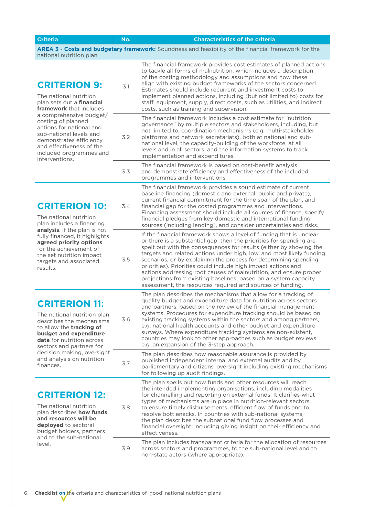| <b>Criteria</b>                                                                                                                                                                                                                                                                                                          | No. | <b>Characteristics of the criteria</b>                                                                                                                                                                                                                                                                                                                                                                                                                                                                                                                                                                                              |  |  |
|--------------------------------------------------------------------------------------------------------------------------------------------------------------------------------------------------------------------------------------------------------------------------------------------------------------------------|-----|-------------------------------------------------------------------------------------------------------------------------------------------------------------------------------------------------------------------------------------------------------------------------------------------------------------------------------------------------------------------------------------------------------------------------------------------------------------------------------------------------------------------------------------------------------------------------------------------------------------------------------------|--|--|
| AREA 3 - Costs and budgetary framework: Soundness and feasibility of the financial framework for the<br>national nutrition plan                                                                                                                                                                                          |     |                                                                                                                                                                                                                                                                                                                                                                                                                                                                                                                                                                                                                                     |  |  |
| <b>CRITERION 9:</b><br>The national nutrition<br>plan sets out a financial<br><b>framework</b> that includes<br>a comprehensive budget/<br>costing of planned<br>actions for national and<br>sub-national levels and<br>demonstrates efficiency<br>and effectiveness of the<br>included programmes and<br>interventions. | 3.1 | The financial framework provides cost estimates of planned actions<br>to tackle all forms of malnutrition, which includes a description<br>of the costing methodology and assumptions and how these<br>align with existing budget frameworks of the sectors concerned.<br>Estimates should include recurrent and investment costs to<br>implement planned actions, including (but not limited to) costs for<br>staff, equipment, supply, direct costs, such as utilities, and indirect<br>costs, such as training and supervision.                                                                                                  |  |  |
|                                                                                                                                                                                                                                                                                                                          | 3.2 | The financial framework includes a cost estimate for "nutrition<br>governance" by multiple sectors and stakeholders, including, but<br>not limited to, coordination mechanisms (e.g. multi-stakeholder<br>platforms and network secretariats), both at national and sub-<br>national level, the capacity-building of the workforce, at all<br>levels and in all sectors, and the information systems to track<br>implementation and expenditures.                                                                                                                                                                                   |  |  |
|                                                                                                                                                                                                                                                                                                                          | 3.3 | The financial framework is based on cost-benefit analysis<br>and demonstrate efficiency and effectiveness of the included<br>programmes and interventions.                                                                                                                                                                                                                                                                                                                                                                                                                                                                          |  |  |
| <b>CRITERION 10:</b><br>The national nutrition<br>plan includes a financing<br>analysis. If the plan is not<br>fully financed, it highlights<br>agreed priority options<br>for the achievement of<br>the set nutrition impact<br>targets and associated<br>results.                                                      | 3.4 | The financial framework provides a sound estimate of current<br>baseline financing (domestic and external, public and private),<br>current financial commitment for the time span of the plan, and<br>financial gap for the costed programmes and interventions.<br>Financing assessment should include all sources of finance, specify<br>financial pledges from key domestic and international funding<br>sources (including lending), and consider uncertainties and risks.                                                                                                                                                      |  |  |
|                                                                                                                                                                                                                                                                                                                          | 3.5 | If the financial framework shows a level of funding that is unclear<br>or there is a substantial gap, then the priorities for spending are<br>spelt out with the consequences for results (either by showing the<br>targets and related actions under high, low, and most likely funding<br>scenarios, or by explaining the process for determining spending<br>priorities). Priorities could include high impact actions and<br>actions addressing root causes of malnutrition, and ensure proper<br>projections from existing baselines, based on a system capacity<br>assessment, the resources required and sources of funding. |  |  |
| <b>CRITERION 11:</b><br>The national nutrition plan<br>describes the mechanisms<br>to allow the tracking of<br>budget and expenditure<br><b>data</b> for nutrition across<br>sectors and partners for<br>decision making, oversight<br>and analysis on nutrition<br>finances.                                            | 3.6 | The plan describes the mechanisms that allow for a tracking of<br>quality budget and expenditure data for nutrition across sectors<br>and partners, based on the review of the financial management<br>systems. Procedures for expenditure tracking should be based on<br>existing tracking systems within the sectors and among partners,<br>e.g. national health accounts and other budget and expenditure<br>surveys. Where expenditure tracking systems are non-existent,<br>countries may look to other approaches such as budget reviews,<br>e.g. an expansion of the 3-step approach.                                        |  |  |
|                                                                                                                                                                                                                                                                                                                          | 3.7 | The plan describes how reasonable assurance is provided by<br>published independent internal and external audits and by<br>parliamentary and citizens 'oversight including existing mechanisms<br>for following up audit findings.                                                                                                                                                                                                                                                                                                                                                                                                  |  |  |
| <b>CRITERION 12:</b><br>The national nutrition<br>plan describes how funds<br>and resources will be<br>deployed to sectoral<br>budget holders, partners<br>and to the sub-national<br>level.                                                                                                                             | 3.8 | The plan spells out how funds and other resources will reach<br>the intended implementing organisations, including modalities<br>for channelling and reporting on external funds. It clarifies what<br>types of mechanisms are in place in nutrition-relevant sectors<br>to ensure timely disbursements, efficient flow of funds and to<br>resolve bottlenecks. In countries with sub-national systems,<br>the plan describes the subnational fund flow processes and<br>financial oversight, including giving insight on their efficiency and<br>effectiveness.                                                                    |  |  |
|                                                                                                                                                                                                                                                                                                                          | 3.9 | The plan includes transparent criteria for the allocation of resources<br>across sectors and programmes, to the sub-national level and to<br>non-state actors (where appropriate).                                                                                                                                                                                                                                                                                                                                                                                                                                                  |  |  |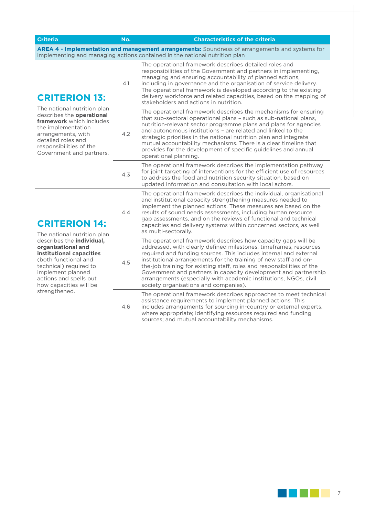| <b>Criteria</b>                                                                                                                                                                                                                                                                | No. | <b>Characteristics of the criteria</b>                                                                                                                                                                                                                                                                                                                                                                                                                                                                                                |  |  |
|--------------------------------------------------------------------------------------------------------------------------------------------------------------------------------------------------------------------------------------------------------------------------------|-----|---------------------------------------------------------------------------------------------------------------------------------------------------------------------------------------------------------------------------------------------------------------------------------------------------------------------------------------------------------------------------------------------------------------------------------------------------------------------------------------------------------------------------------------|--|--|
| AREA 4 - Implementation and management arrangements: Soundness of arrangements and systems for<br>implementing and managing actions contained in the national nutrition plan                                                                                                   |     |                                                                                                                                                                                                                                                                                                                                                                                                                                                                                                                                       |  |  |
| <b>CRITERION 13:</b><br>The national nutrition plan<br>describes the operational<br>framework which includes<br>the implementation<br>arrangements, with<br>detailed roles and<br>responsibilities of the<br>Government and partners.                                          | 4.1 | The operational framework describes detailed roles and<br>responsibilities of the Government and partners in implementing,<br>managing and ensuring accountability of planned actions,<br>including in governance and the organisation of service delivery.<br>The operational framework is developed according to the existing<br>delivery workforce and related capacities, based on the mapping of<br>stakeholders and actions in nutrition.                                                                                       |  |  |
|                                                                                                                                                                                                                                                                                | 4.2 | The operational framework describes the mechanisms for ensuring<br>that sub-sectoral operational plans - such as sub-national plans,<br>nutrition-relevant sector programme plans and plans for agencies<br>and autonomous institutions - are related and linked to the<br>strategic priorities in the national nutrition plan and integrate<br>mutual accountability mechanisms. There is a clear timeline that<br>provides for the development of specific guidelines and annual<br>operational planning.                           |  |  |
|                                                                                                                                                                                                                                                                                | 4.3 | The operational framework describes the implementation pathway<br>for joint targeting of interventions for the efficient use of resources<br>to address the food and nutrition security situation, based on<br>updated information and consultation with local actors.                                                                                                                                                                                                                                                                |  |  |
| <b>CRITERION 14:</b><br>The national nutrition plan<br>describes the individual,<br>organisational and<br>institutional capacities<br>(both functional and<br>technical) required to<br>implement planned<br>actions and spells out<br>how capacities will be<br>strengthened. | 4.4 | The operational framework describes the individual, organisational<br>and institutional capacity strengthening measures needed to<br>implement the planned actions. These measures are based on the<br>results of sound needs assessments, including human resource<br>gap assessments, and on the reviews of functional and technical<br>capacities and delivery systems within concerned sectors, as well<br>as multi-sectorally.                                                                                                   |  |  |
|                                                                                                                                                                                                                                                                                | 4.5 | The operational framework describes how capacity gaps will be<br>addressed, with clearly defined milestones, timeframes, resources<br>required and funding sources. This includes internal and external<br>institutional arrangements for the training of new staff and on-<br>the-job training for existing staff, roles and responsibilities of the<br>Government and partners in capacity development and partnership<br>arrangements (especially with academic institutions, NGOs, civil<br>society organisations and companies). |  |  |
|                                                                                                                                                                                                                                                                                | 4.6 | The operational framework describes approaches to meet technical<br>assistance requirements to implement planned actions. This<br>includes arrangements for sourcing in-country or external experts,<br>where appropriate; identifying resources required and funding<br>sources; and mutual accountability mechanisms.                                                                                                                                                                                                               |  |  |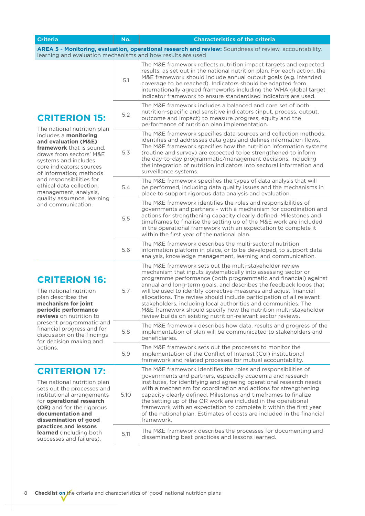| <b>Criteria</b>                                                                                                                                                                                                                                                                                                                                                                         | No.  | <b>Characteristics of the criteria</b>                                                                                                                                                                                                                                                                                                                                                                                                                                                                                                                                                                              |  |  |  |
|-----------------------------------------------------------------------------------------------------------------------------------------------------------------------------------------------------------------------------------------------------------------------------------------------------------------------------------------------------------------------------------------|------|---------------------------------------------------------------------------------------------------------------------------------------------------------------------------------------------------------------------------------------------------------------------------------------------------------------------------------------------------------------------------------------------------------------------------------------------------------------------------------------------------------------------------------------------------------------------------------------------------------------------|--|--|--|
| AREA 5 - Monitoring, evaluation, operational research and review: Soundness of review, accountability,<br>learning and evaluation mechanisms and how results are used                                                                                                                                                                                                                   |      |                                                                                                                                                                                                                                                                                                                                                                                                                                                                                                                                                                                                                     |  |  |  |
| <b>CRITERION 15:</b><br>The national nutrition plan<br>includes a <b>monitoring</b><br>and evaluation (M&E)<br>framework that is sound,<br>draws from sectors' M&E<br>systems and includes<br>core indicators; sources<br>of information; methods<br>and responsibilities for<br>ethical data collection,<br>management, analysis,<br>quality assurance, learning<br>and communication. | 5.1  | The M&E framework reflects nutrition impact targets and expected<br>results, as set out in the national nutrition plan. For each action, the<br>M&E framework should include annual output goals (e.g. intended<br>coverage to be reached). Indicators should be adapted from<br>internationally agreed frameworks including the WHA global target<br>indicator framework to ensure standardised indicators are used.                                                                                                                                                                                               |  |  |  |
|                                                                                                                                                                                                                                                                                                                                                                                         | 5.2  | The M&E framework includes a balanced and core set of both<br>nutrition-specific and sensitive indicators (input, process, output,<br>outcome and impact) to measure progress, equity and the<br>performance of nutrition plan implementation.                                                                                                                                                                                                                                                                                                                                                                      |  |  |  |
|                                                                                                                                                                                                                                                                                                                                                                                         | 5.3  | The M&E framework specifies data sources and collection methods,<br>identifies and addresses data gaps and defines information flows.<br>The M&E framework specifies how the nutrition information systems<br>(routine and survey) are expected to be strengthened to inform<br>the day-to-day programmatic/management decisions, including<br>the integration of nutrition indicators into sectoral information and<br>surveillance systems.                                                                                                                                                                       |  |  |  |
|                                                                                                                                                                                                                                                                                                                                                                                         | 5.4  | The M&E framework specifies the types of data analysis that will<br>be performed, including data quality issues and the mechanisms in<br>place to support rigorous data analysis and evaluation.                                                                                                                                                                                                                                                                                                                                                                                                                    |  |  |  |
|                                                                                                                                                                                                                                                                                                                                                                                         | 5.5  | The M&E framework identifies the roles and responsibilities of<br>governments and partners - with a mechanism for coordination and<br>actions for strengthening capacity clearly defined. Milestones and<br>timeframes to finalise the setting up of the M&E work are included<br>in the operational framework with an expectation to complete it<br>within the first year of the national plan.                                                                                                                                                                                                                    |  |  |  |
|                                                                                                                                                                                                                                                                                                                                                                                         | 5.6  | The M&E framework describes the multi-sectoral nutrition<br>information platform in place, or to be developed, to support data<br>analysis, knowledge management, learning and communication.                                                                                                                                                                                                                                                                                                                                                                                                                       |  |  |  |
| <b>CRITERION 16:</b><br>The national nutrition<br>plan describes the<br>mechanism for joint<br>periodic performance<br>reviews on nutrition to<br>present programmatic and<br>financial progress and for<br>discussion on the findings<br>for decision making and<br>actions.                                                                                                           | 5.7  | The M&E framework sets out the multi-stakeholder review<br>mechanism that inputs systematically into assessing sector or<br>programme performance (both programmatic and financial) against<br>annual and long-term goals, and describes the feedback loops that<br>will be used to identify corrective measures and adjust financial<br>allocations. The review should include participation of all relevant<br>stakeholders, including local authorities and communities. The<br>M&E framework should specify how the nutrition multi-stakeholder<br>review builds on existing nutrition-relevant sector reviews. |  |  |  |
|                                                                                                                                                                                                                                                                                                                                                                                         | 5.8  | The M&E framework describes how data, results and progress of the<br>implementation of plan will be communicated to stakeholders and<br>beneficiaries.                                                                                                                                                                                                                                                                                                                                                                                                                                                              |  |  |  |
|                                                                                                                                                                                                                                                                                                                                                                                         | 5.9  | The M&E framework sets out the processes to monitor the<br>implementation of the Conflict of Interest (Col) institutional<br>framework and related processes for mutual accountability.                                                                                                                                                                                                                                                                                                                                                                                                                             |  |  |  |
| <b>CRITERION 17:</b><br>The national nutrition plan<br>sets out the processes and<br>institutional arrangements<br>for operational research<br><b>(OR)</b> and for the rigorous<br>documentation and<br>dissemination of good<br>practices and lessons<br>learned (including both<br>successes and failures).                                                                           | 5.10 | The M&E framework identifies the roles and responsibilities of<br>governments and partners, especially academia and research<br>institutes, for identifying and agreeing operational research needs<br>with a mechanism for coordination and actions for strengthening<br>capacity clearly defined. Milestones and timeframes to finalize<br>the setting up of the OR work are included in the operational<br>framework with an expectation to complete it within the first year<br>of the national plan. Estimates of costs are included in the financial<br>framework.                                            |  |  |  |
|                                                                                                                                                                                                                                                                                                                                                                                         | 5.11 | The M&E framework describes the processes for documenting and<br>disseminating best practices and lessons learned.                                                                                                                                                                                                                                                                                                                                                                                                                                                                                                  |  |  |  |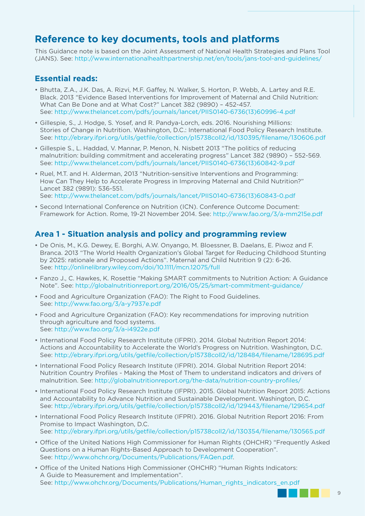## **Reference to key documents, tools and platforms**

This Guidance note is based on the Joint Assessment of National Health Strategies and Plans Tool (JANS). See: http://www.internationalhealthpartnership.net/en/tools/jans-tool-and-guidelines/

#### **Essential reads:**

- Bhutta, Z.A., J.K. Das, A. Rizvi, M.F. Gaffey, N. Walker, S. Horton, P. Webb, A. Lartey and R.E. Black. 2013 "Evidence Based Interventions for Improvement of Maternal and Child Nutrition: What Can Be Done and at What Cost?" Lancet 382 (9890) – 452-457. See: http://www.thelancet.com/pdfs/journals/lancet/PIIS0140-6736(13)60996-4.pdf
- Gillespie, S., J. Hodge, S. Yosef, and R. Pandya-Lorch, eds. 2016. Nourishing Millions: Stories of Change in Nutrition. Washington, D.C.: International Food Policy Research Institute. See: http://ebrary.ifpri.org/utils/getfile/collection/p15738coll2/id/130395/filename/130606.pdf
- Gillespie S., L. Haddad, V. Mannar, P. Menon, N. Nisbett 2013 "The politics of reducing malnutrition: building commitment and accelerating progress" Lancet 382 (9890) – 552-569. See: http://www.thelancet.com/pdfs/journals/lancet/PIIS0140-6736(13)60842-9.pdf
- Ruel, M.T. and H. Alderman, 2013 "Nutrition-sensitive Interventions and Programming: How Can They Help to Accelerate Progress in Improving Maternal and Child Nutrition?" Lancet 382 (9891): 536-551. See: http://www.thelancet.com/pdfs/journals/lancet/PIIS0140-6736(13)60843-0.pdf
- Second International Conference on Nutrition (ICN). Conference Outcome Document: Framework for Action. Rome, 19-21 November 2014. See: http://www.fao.org/3/a-mm215e.pdf

#### **Area 1 - Situation analysis and policy and programming review**

- De Onis, M., K.G. Dewey, E. Borghi, A.W. Onyango, M. Bloessner, B. Daelans, E. Piwoz and F. Branca. 2013 "The World Health Organization's Global Target for Reducing Childhood Stunting by 2025: rationale and Proposed Actions". Maternal and Child Nutrition 9 (2): 6-26. See: http://onlinelibrary.wiley.com/doi/10.1111/mcn.12075/full
- Fanzo J., C. Hawkes, K. Rosettie "Making SMART commitments to Nutrition Action: A Guidance Note". See: http://globalnutritionreport.org/2016/05/25/smart-commitment-guidance/
- Food and Agriculture Organization (FAO): The Right to Food Guidelines. See: http://www.fao.org/3/a-y7937e.pdf
- Food and Agriculture Organization (FAO): Key recommendations for improving nutrition through agriculture and food systems. See: http://www.fao.org/3/a-i4922e.pdf
- International Food Policy Research Institute (IFPRI). 2014. Global Nutrition Report 2014: Actions and Accountability to Accelerate the World's Progress on Nutrition. Washington, D.C. See: http://ebrary.ifpri.org/utils/getfile/collection/p15738coll2/id/128484/filename/128695.pdf
- International Food Policy Research Institute (IFPRI). 2014. Global Nutrition Report 2014: Nutrition Country Profiles - Making the Most of Them to understand indicators and drivers of malnutrition. See: http://globalnutritionreport.org/the-data/nutrition-country-profiles/
- International Food Policy Research Institute (IFPRI). 2015. Global Nutrition Report 2015: Actions and Accountability to Advance Nutrition and Sustainable Development. Washington, D.C. See: http://ebrary.ifpri.org/utils/getfile/collection/p15738coll2/id/129443/filename/129654.pdf
- International Food Policy Research Institute (IFPRI). 2016. Global Nutrition Report 2016: From Promise to Impact Washington, D.C. See: http://ebrary.ifpri.org/utils/getfile/collection/p15738coll2/id/130354/filename/130565.pdf
- Office of the United Nations High Commissioner for Human Rights (OHCHR) "Frequently Asked Questions on a Human Rights-Based Approach to Development Cooperation". See: http://www.ohchr.org/Documents/Publications/FAQen.pdf.
- Office of the United Nations High Commissioner (OHCHR) "Human Rights Indicators: A Guide to Measurement and Implementation". See: http://www.ohchr.org/Documents/Publications/Human\_rights\_indicators\_en.pdf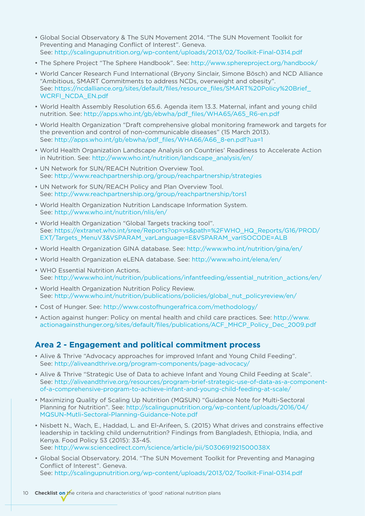- Global Social Observatory & The SUN Movement 2014. "The SUN Movement Toolkit for Preventing and Managing Conflict of Interest". Geneva. See: http://scalingupnutrition.org/wp-content/uploads/2013/02/Toolkit-Final-0314.pdf
- The Sphere Project "The Sphere Handbook". See: http://www.sphereproject.org/handbook/
- World Cancer Research Fund International (Bryony Sinclair, Simone Bösch) and NCD Alliance "Ambitious, SMART Commitments to address NCDs, overweight and obesity". See: https://ncdalliance.org/sites/default/files/resource\_files/SMART%20Policy%20Brief\_ WCRFI\_NCDA\_EN.pdf
- World Health Assembly Resolution 65.6. Agenda item 13.3. Maternal, infant and young child nutrition. See: http://apps.who.int/gb/ebwha/pdf\_files/WHA65/A65\_R6-en.pdf
- World Health Organization "Draft comprehensive global monitoring framework and targets for the prevention and control of non-communicable diseases" (15 March 2013). See: http://apps.who.int/gb/ebwha/pdf\_files/WHA66/A66\_8-en.pdf?ua=1
- World Health Organization Landscape Analysis on Countries' Readiness to Accelerate Action in Nutrition. See: http://www.who.int/nutrition/landscape\_analysis/en/
- UN Network for SUN/REACH Nutrition Overview Tool. See: http://www.reachpartnership.org/group/reachpartnership/strategies
- UN Network for SUN/REACH Policy and Plan Overview Tool. See: http://www.reachpartnership.org/group/reachpartnership/tors1
- World Health Organization Nutrition Landscape Information System. See: http://www.who.int/nutrition/nlis/en/
- World Health Organization "Global Targets tracking tool". See: https://extranet.who.int/sree/Reports?op=vs&path=%2FWHO\_HQ\_Reports/G16/PROD/ EXT/Targets\_MenuV3&VSPARAM\_varLanguage=E&VSPARAM\_varISOCODE=ALB
- World Health Organization GINA database. See: http://www.who.int/nutrition/gina/en/
- World Health Organization eLENA database. See: http://www.who.int/elena/en/
- WHO Essential Nutrition Actions. See: http://www.who.int/nutrition/publications/infantfeeding/essential\_nutrition\_actions/en/
- World Health Organization Nutrition Policy Review. See: http://www.who.int/nutrition/publications/policies/global\_nut\_policyreview/en/
- Cost of Hunger. See: http://www.costofhungerafrica.com/methodology/
- Action against hunger: Policy on mental health and child care practices. See: http://www. actionagainsthunger.org/sites/default/files/publications/ACF\_MHCP\_Policy\_Dec\_2009.pdf

#### **Area 2 - Engagement and political commitment process**

- Alive & Thrive "Advocacy approaches for improved Infant and Young Child Feeding". See: http://aliveandthrive.org/program-components/page-advocacy/
- Alive & Thrive "Strategic Use of Data to achieve Infant and Young Child Feeding at Scale". See: http://aliveandthrive.org/resources/program-brief-strategic-use-of-data-as-a-componentof-a-comprehensive-program-to-achieve-infant-and-young-child-feeding-at-scale/
- Maximizing Quality of Scaling Up Nutrition (MQSUN) "Guidance Note for Multi-Sectoral Planning for Nutrition". See: http://scalingupnutrition.org/wp-content/uploads/2016/04/ MQSUN-Mutli-Sectoral-Planning-Guidance-Note.pdf
- Nisbett N., Wach, E., Haddad, L. and El-Arifeen, S. (2015) What drives and constrains effective leadership in tackling child undernutrition? Findings from Bangladesh, Ethiopia, India, and Kenya. Food Policy 53 (2015): 33-45. See: http://www.sciencedirect.com/science/article/pii/S030691921500038X
- Global Social Observatory. 2014. "The SUN Movement Toolkit for Preventing and Managing Conflict of Interest". Geneva. See: http://scalingupnutrition.org/wp-content/uploads/2013/02/Toolkit-Final-0314.pdf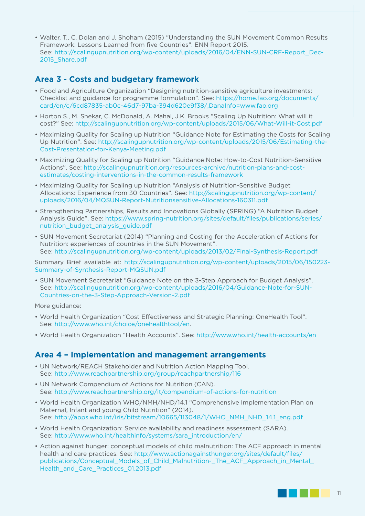• Walter, T., C. Dolan and J. Shoham (2015) "Understanding the SUN Movement Common Results Framework: Lessons Learned from five Countries". ENN Report 2015. See: http://scalingupnutrition.org/wp-content/uploads/2016/04/ENN-SUN-CRF-Report\_Dec-2015\_Share.pdf

#### **Area 3 - Costs and budgetary framework**

- Food and Agriculture Organization "Designing nutrition-sensitive agriculture investments: Checklist and guidance for programme formulation". See: https://home.fao.org/documents/ card/en/c/6cd87835-ab0c-46d7-97ba-394d620e9f38/,DanaInfo=www.fao.org
- Horton S., M. Shekar, C. McDonald, A. Mahal, J.K. Brooks "Scaling Up Nutrition: What will it cost?" See: http://scalingupnutrition.org/wp-content/uploads/2015/06/What-Will-it-Cost.pdf
- Maximizing Quality for Scaling up Nutrition "Guidance Note for Estimating the Costs for Scaling Up Nutrition". See: http://scalingupnutrition.org/wp-content/uploads/2015/06/Estimating-the-Cost-Presentation-for-Kenya-Meeting.pdf
- Maximizing Quality for Scaling up Nutrition "Guidance Note: How-to-Cost Nutrition-Sensitive Actions". See: http://scalingupnutrition.org/resources-archive/nutrition-plans-and-costestimates/costing-interventions-in-the-common-results-framework
- Maximizing Quality for Scaling up Nutrition "Analysis of Nutrition-Sensitive Budget Allocations: Experience from 30 Countries". See: http://scalingupnutrition.org/wp-content/ uploads/2016/04/MQSUN-Report-Nutritionsensitive-Allocations-160311.pdf
- Strengthening Partnerships, Results and Innovations Globally (SPRING) "A Nutrition Budget Analysis Guide". See: https://www.spring-nutrition.org/sites/default/files/publications/series/ nutrition budget analysis quide.pdf
- SUN Movement Secretariat (2014) "Planning and Costing for the Acceleration of Actions for Nutrition: experiences of countries in the SUN Movement". See: http://scalingupnutrition.org/wp-content/uploads/2013/02/Final-Synthesis-Report.pdf

Summary Brief available at: http://scalingupnutrition.org/wp-content/uploads/2015/06/150223- Summary-of-Synthesis-Report-MQSUN.pdf

• SUN Movement Secretariat "Guidance Note on the 3-Step Approach for Budget Analysis". See: http://scalingupnutrition.org/wp-content/uploads/2016/04/Guidance-Note-for-SUN-Countries-on-the-3-Step-Approach-Version-2.pdf

More quidance:

- World Health Organization "Cost Effectiveness and Strategic Planning: OneHealth Tool". See: http://www.who.int/choice/onehealthtool/en.
- World Health Organization "Health Accounts". See: http://www.who.int/health-accounts/en

#### **Area 4 – Implementation and management arrangements**

- UN Network/REACH Stakeholder and Nutrition Action Mapping Tool. See: http://www.reachpartnership.org/group/reachpartnership/116
- UN Network Compendium of Actions for Nutrition (CAN). See: http://www.reachpartnership.org/it/compendium-of-actions-for-nutrition
- World Health Organization WHO/NMH/NHD/14.1 "Comprehensive Implementation Plan on Maternal, Infant and young Child Nutrition" (2014). See: http://apps.who.int/iris/bitstream/10665/113048/1/WHO\_NMH\_NHD\_14.1\_eng.pdf
- World Health Organization: Service availability and readiness assessment (SARA). See: http://www.who.int/healthinfo/systems/sara\_introduction/en/
- Action against hunger: conceptual models of child malnutrition: The ACF approach in mental health and care practices. See: http://www.actionagainsthunger.org/sites/default/files/ publications/Conceptual Models of Child Malnutrition- The ACF Approach in Mental Health\_and\_Care\_Practices\_01.2013.pdf

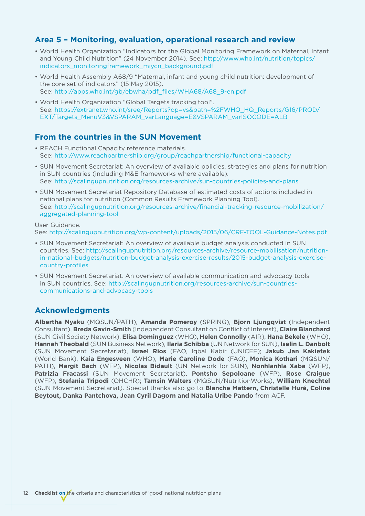#### **Area 5 – Monitoring, evaluation, operational research and review**

- World Health Organization "Indicators for the Global Monitoring Framework on Maternal, Infant and Young Child Nutrition" (24 November 2014). See: http://www.who.int/nutrition/topics/ indicators\_monitoringframework\_miycn\_background.pdf
- World Health Assembly A68/9 "Maternal, infant and young child nutrition: development of the core set of indicators" (15 May 2015). See: http://apps.who.int/gb/ebwha/pdf\_files/WHA68/A68\_9-en.pdf
- World Health Organization "Global Targets tracking tool". See: https://extranet.who.int/sree/Reports?op=vs&path=%2FWHO\_HQ\_Reports/G16/PROD/ EXT/Targets\_MenuV3&VSPARAM\_varLanguage=E&VSPARAM\_varISOCODE=ALB

#### **From the countries in the SUN Movement**

- REACH Functional Capacity reference materials. See: http://www.reachpartnership.org/group/reachpartnership/functional-capacity
- SUN Movement Secretariat: An overview of available policies, strategies and plans for nutrition in SUN countries (including M&E frameworks where available). See: http://scalingupnutrition.org/resources-archive/sun-countries-policies-and-plans
- SUN Movement Secretariat Repository Database of estimated costs of actions included in national plans for nutrition (Common Results Framework Planning Tool). See: http://scalingupnutrition.org/resources-archive/financial-tracking-resource-mobilization/ aggregated-planning-tool

#### User Guidance.

See: http://scalingupnutrition.org/wp-content/uploads/2015/06/CRF-TOOL-Guidance-Notes.pdf

- SUN Movement Secretariat: An overview of available budget analysis conducted in SUN countries. See: http://scalingupnutrition.org/resources-archive/resource-mobilisation/nutritionin-national-budgets/nutrition-budget-analysis-exercise-results/2015-budget-analysis-exercisecountry-profiles
- SUN Movement Secretariat. An overview of available communication and advocacy tools in SUN countries. See: http://scalingupnutrition.org/resources-archive/sun-countriescommunications-and-advocacy-tools

#### **Acknowledgments**

**Albertha Nyaku** (MQSUN/PATH), **Amanda Pomeroy** (SPRING), **Bjorn Ljungqvist** (Independent Consultant), **Breda Gavin-Smith** (Independent Consultant on Conflict of Interest), **Claire Blanchard** (SUN Civil Society Network), **Elisa Dominguez** (WHO), **Helen Connolly** (AIR), **Hana Bekele** (WHO), **Hannah Theobald** (SUN Business Network), **Ilaria Schibba** (UN Network for SUN), **Iselin L. Danbolt** (SUN Movement Secretariat), **Israel Rios** (FAO, Iqbal Kabir (UNICEF); **Jakub Jan Kakietek** (World Bank), **Kaia Engesveen** (WHO), **Marie Caroline Dode** (FAO), **Monica Kothari** (MQSUN/ PATH), **Margit Bach** (WFP), **Nicolas Bidault** (UN Network for SUN), **Nonhlanhla Xaba** (WFP), **Patrizia Fracassi** (SUN Movement Secretariat), **Pontsho Sepoloane** (WFP), **Rose Craigue** (WFP), **Stefania Tripodi** (OHCHR); **Tamsin Walters** (MQSUN/NutritionWorks), **William Knechtel** (SUN Movement Secretariat). Special thanks also go to **Blanche Mattern, Christelle Huré, Coline Beytout, Danka Pantchova, Jean Cyril Dagorn and Natalia Uribe Pando** from ACF.